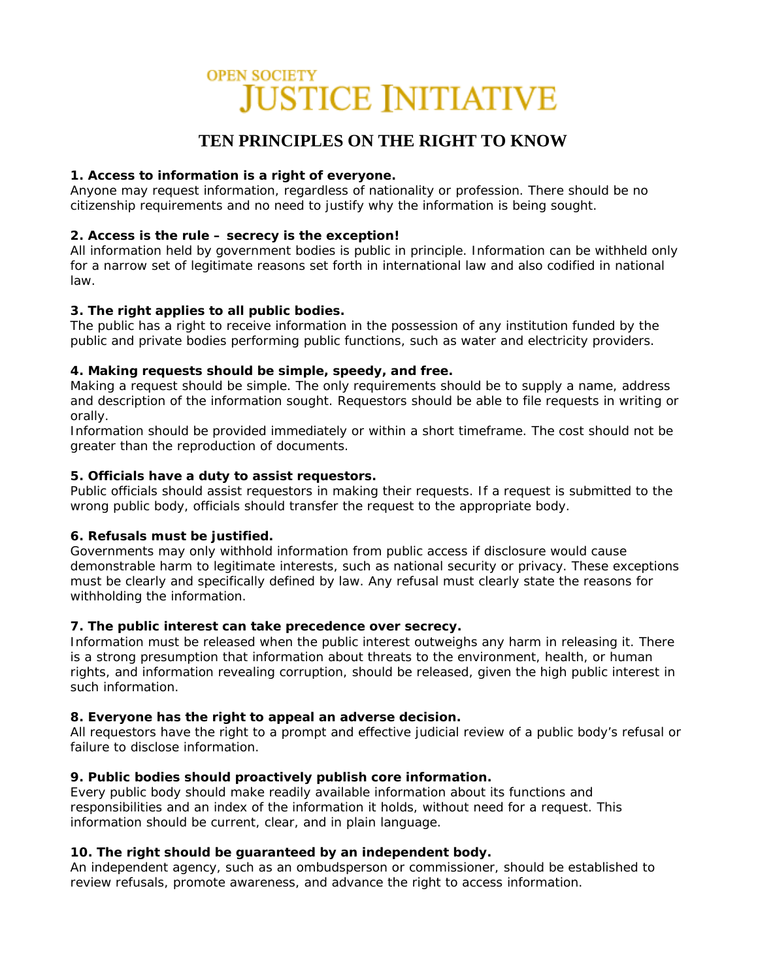# **OPEN SOCIETY JUSTICE INITIATIVE**

## **TEN PRINCIPLES ON THE RIGHT TO KNOW**

## **1. Access to information is a right of everyone.**

Anyone may request information, regardless of nationality or profession. There should be no citizenship requirements and no need to justify why the information is being sought.

## **2. Access is the rule – secrecy is the exception!**

All information held by government bodies is public in principle. Information can be withheld only for a narrow set of legitimate reasons set forth in international law and also codified in national law.

## **3. The right applies to all public bodies.**

The public has a right to receive information in the possession of any institution funded by the public and private bodies performing public functions, such as water and electricity providers.

## **4. Making requests should be simple, speedy, and free.**

Making a request should be simple. The only requirements should be to supply a name, address and description of the information sought. Requestors should be able to file requests in writing or orally.

Information should be provided immediately or within a short timeframe. The cost should not be greater than the reproduction of documents.

## **5. Officials have a duty to assist requestors.**

Public officials should assist requestors in making their requests. If a request is submitted to the wrong public body, officials should transfer the request to the appropriate body.

### **6. Refusals must be justified.**

Governments may only withhold information from public access if disclosure would cause demonstrable harm to legitimate interests, such as national security or privacy. These exceptions must be clearly and specifically defined by law. Any refusal must clearly state the reasons for withholding the information.

### **7. The public interest can take precedence over secrecy.**

Information must be released when the public interest outweighs any harm in releasing it. There is a strong presumption that information about threats to the environment, health, or human rights, and information revealing corruption, should be released, given the high public interest in such information.

## **8. Everyone has the right to appeal an adverse decision.**

All requestors have the right to a prompt and effective judicial review of a public body's refusal or failure to disclose information.

## **9. Public bodies should proactively publish core information.**

Every public body should make readily available information about its functions and responsibilities and an index of the information it holds, without need for a request. This information should be current, clear, and in plain language.

## **10. The right should be guaranteed by an independent body.**

An independent agency, such as an ombudsperson or commissioner, should be established to review refusals, promote awareness, and advance the right to access information.